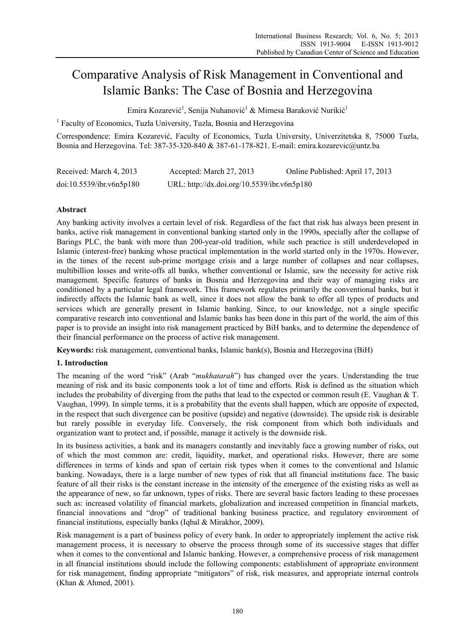# Comparative Analysis of Risk Management in Conventional and Islamic Banks: The Case of Bosnia and Herzegovina

Emira Kozarević<sup>1</sup>, Senija Nuhanović<sup>1</sup> & Mirnesa Baraković Nurikić<sup>1</sup>

<sup>1</sup> Faculty of Economics, Tuzla University, Tuzla, Bosnia and Herzegovina

Correspondence: Emira Kozarević, Faculty of Economics, Tuzla University, Univerzitetska 8, 75000 Tuzla, Bosnia and Herzegovina. Tel: 387-35-320-840 & 387-61-178-821. E-mail: emira.kozarevic@untz.ba

| Received: March 4, 2013  | Accepted: March 27, 2013                    | Online Published: April 17, 2013 |
|--------------------------|---------------------------------------------|----------------------------------|
| doi:10.5539/ibr.v6n5p180 | URL: http://dx.doi.org/10.5539/ibr.v6n5p180 |                                  |

# **Abstract**

Any banking activity involves a certain level of risk. Regardless of the fact that risk has always been present in banks, active risk management in conventional banking started only in the 1990s, specially after the collapse of Barings PLC, the bank with more than 200-year-old tradition, while such practice is still underdeveloped in Islamic (interest-free) banking whose practical implementation in the world started only in the 1970s. However, in the times of the recent sub-prime mortgage crisis and a large number of collapses and near collapses, multibillion losses and write-offs all banks, whether conventional or Islamic, saw the necessity for active risk management. Specific features of banks in Bosnia and Herzegovina and their way of managing risks are conditioned by a particular legal framework. This framework regulates primarily the conventional banks, but it indirectly affects the Islamic bank as well, since it does not allow the bank to offer all types of products and services which are generally present in Islamic banking. Since, to our knowledge, not a single specific comparative research into conventional and Islamic banks has been done in this part of the world, the aim of this paper is to provide an insight into risk management practiced by BiH banks, and to determine the dependence of their financial performance on the process of active risk management.

**Keywords:** risk management, conventional banks, Islamic bank(s), Bosnia and Herzegovina (BiH)

# **1. Introduction**

The meaning of the word "risk" (Arab "*mukhatarah*") has changed over the years. Understanding the true meaning of risk and its basic components took a lot of time and efforts. Risk is defined as the situation which includes the probability of diverging from the paths that lead to the expected or common result (E. Vaughan  $&$  T. Vaughan, 1999). In simple terms, it is a probability that the events shall happen, which are opposite of expected, in the respect that such divergence can be positive (upside) and negative (downside). The upside risk is desirable but rarely possible in everyday life. Conversely, the risk component from which both individuals and organization want to protect and, if possible, manage it actively is the downside risk.

In its business activities, a bank and its managers constantly and inevitably face a growing number of risks, out of which the most common are: credit, liquidity, market, and operational risks. However, there are some differences in terms of kinds and span of certain risk types when it comes to the conventional and Islamic banking. Nowadays, there is a large number of new types of risk that all financial institutions face. The basic feature of all their risks is the constant increase in the intensity of the emergence of the existing risks as well as the appearance of new, so far unknown, types of risks. There are several basic factors leading to these processes such as: increased volatility of financial markets, globalization and increased competition in financial markets, financial innovations and "drop" of traditional banking business practice, and regulatory environment of financial institutions, especially banks (Iqbal & Mirakhor, 2009).

Risk management is a part of business policy of every bank. In order to appropriately implement the active risk management process, it is necessary to observe the process through some of its successive stages that differ when it comes to the conventional and Islamic banking. However, a comprehensive process of risk management in all financial institutions should include the following components: establishment of appropriate environment for risk management, finding appropriate "mitigators" of risk, risk measures, and appropriate internal controls (Khan & Ahmed, 2001).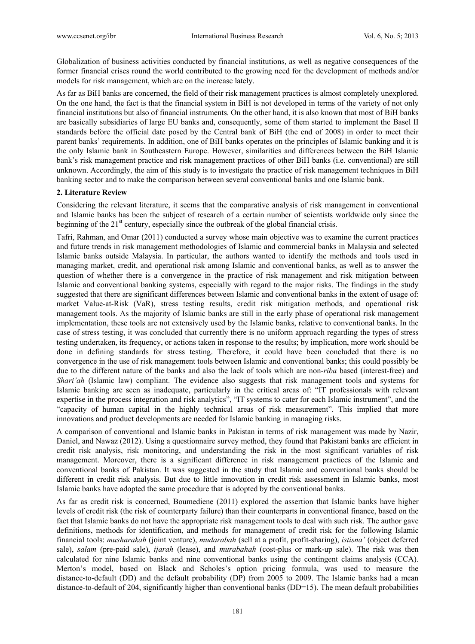Globalization of business activities conducted by financial institutions, as well as negative consequences of the former financial crises round the world contributed to the growing need for the development of methods and/or models for risk management, which are on the increase lately.

As far as BiH banks are concerned, the field of their risk management practices is almost completely unexplored. On the one hand, the fact is that the financial system in BiH is not developed in terms of the variety of not only financial institutions but also of financial instruments. On the other hand, it is also known that most of BiH banks are basically subsidiaries of large EU banks and, consequently, some of them started to implement the Basel II standards before the official date posed by the Central bank of BiH (the end of 2008) in order to meet their parent banks' requirements. In addition, one of BiH banks operates on the principles of Islamic banking and it is the only Islamic bank in Southeastern Europe. However, similarities and differences between the BiH Islamic bank's risk management practice and risk management practices of other BiH banks (i.e. conventional) are still unknown. Accordingly, the aim of this study is to investigate the practice of risk management techniques in BiH banking sector and to make the comparison between several conventional banks and one Islamic bank.

# **2. Literature Review**

Considering the relevant literature, it seems that the comparative analysis of risk management in conventional and Islamic banks has been the subject of research of a certain number of scientists worldwide only since the beginning of the  $21<sup>st</sup>$  century, especially since the outbreak of the global financial crisis.

Tafri, Rahman, and Omar (2011) conducted a survey whose main objective was to examine the current practices and future trends in risk management methodologies of Islamic and commercial banks in Malaysia and selected Islamic banks outside Malaysia. In particular, the authors wanted to identify the methods and tools used in managing market, credit, and operational risk among Islamic and conventional banks, as well as to answer the question of whether there is a convergence in the practice of risk management and risk mitigation between Islamic and conventional banking systems, especially with regard to the major risks. The findings in the study suggested that there are significant differences between Islamic and conventional banks in the extent of usage of: market Value-at-Risk (VaR), stress testing results, credit risk mitigation methods, and operational risk management tools. As the majority of Islamic banks are still in the early phase of operational risk management implementation, these tools are not extensively used by the Islamic banks, relative to conventional banks. In the case of stress testing, it was concluded that currently there is no uniform approach regarding the types of stress testing undertaken, its frequency, or actions taken in response to the results; by implication, more work should be done in defining standards for stress testing. Therefore, it could have been concluded that there is no convergence in the use of risk management tools between Islamic and conventional banks; this could possibly be due to the different nature of the banks and also the lack of tools which are non-*riba* based (interest-free) and *Shari'ah* (Islamic law) compliant. The evidence also suggests that risk management tools and systems for Islamic banking are seen as inadequate, particularly in the critical areas of: "IT professionals with relevant expertise in the process integration and risk analytics", "IT systems to cater for each Islamic instrument", and the "capacity of human capital in the highly technical areas of risk measurement". This implied that more innovations and product developments are needed for Islamic banking in managing risks.

A comparison of conventional and Islamic banks in Pakistan in terms of risk management was made by Nazir, Daniel, and Nawaz (2012). Using a questionnaire survey method, they found that Pakistani banks are efficient in credit risk analysis, risk monitoring, and understanding the risk in the most significant variables of risk management. Moreover, there is a significant difference in risk management practices of the Islamic and conventional banks of Pakistan. It was suggested in the study that Islamic and conventional banks should be different in credit risk analysis. But due to little innovation in credit risk assessment in Islamic banks, most Islamic banks have adopted the same procedure that is adopted by the conventional banks.

As far as credit risk is concerned, Boumediene (2011) explored the assertion that Islamic banks have higher levels of credit risk (the risk of counterparty failure) than their counterparts in conventional finance, based on the fact that Islamic banks do not have the appropriate risk management tools to deal with such risk. The author gave definitions, methods for identification, and methods for management of credit risk for the following Islamic financial tools: *musharakah* (joint venture), *mudarabah* (sell at a profit, profit-sharing), *istisna'* (object deferred sale), *salam* (pre-paid sale), *ijarah* (lease), and *murabahah* (cost-plus or mark-up sale). The risk was then calculated for nine Islamic banks and nine conventional banks using the contingent claims analysis (CCA). Merton's model, based on Black and Scholes's option pricing formula, was used to measure the distance-to-default (DD) and the default probability (DP) from 2005 to 2009. The Islamic banks had a mean distance-to-default of 204, significantly higher than conventional banks (DD=15). The mean default probabilities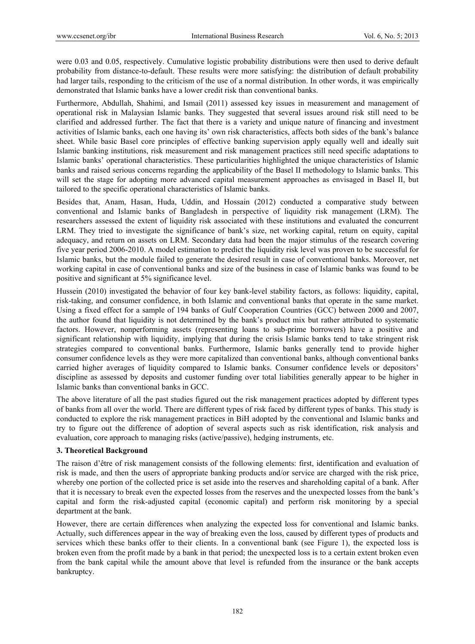were 0.03 and 0.05, respectively. Cumulative logistic probability distributions were then used to derive default probability from distance-to-default. These results were more satisfying: the distribution of default probability had larger tails, responding to the criticism of the use of a normal distribution. In other words, it was empirically demonstrated that Islamic banks have a lower credit risk than conventional banks.

Furthermore, Abdullah, Shahimi, and Ismail (2011) assessed key issues in measurement and management of operational risk in Malaysian Islamic banks. They suggested that several issues around risk still need to be clarified and addressed further. The fact that there is a variety and unique nature of financing and investment activities of Islamic banks, each one having its' own risk characteristics, affects both sides of the bank's balance sheet. While basic Basel core principles of effective banking supervision apply equally well and ideally suit Islamic banking institutions, risk measurement and risk management practices still need specific adaptations to Islamic banks' operational characteristics. These particularities highlighted the unique characteristics of Islamic banks and raised serious concerns regarding the applicability of the Basel II methodology to Islamic banks. This will set the stage for adopting more advanced capital measurement approaches as envisaged in Basel II, but tailored to the specific operational characteristics of Islamic banks.

Besides that, Anam, Hasan, Huda, Uddin, and Hossain (2012) conducted a comparative study between conventional and Islamic banks of Bangladesh in perspective of liquidity risk management (LRM). The researchers assessed the extent of liquidity risk associated with these institutions and evaluated the concurrent LRM. They tried to investigate the significance of bank's size, net working capital, return on equity, capital adequacy, and return on assets on LRM. Secondary data had been the major stimulus of the research covering five year period 2006-2010. A model estimation to predict the liquidity risk level was proven to be successful for Islamic banks, but the module failed to generate the desired result in case of conventional banks. Moreover, net working capital in case of conventional banks and size of the business in case of Islamic banks was found to be positive and significant at 5% significance level.

Hussein (2010) investigated the behavior of four key bank-level stability factors, as follows: liquidity, capital, risk-taking, and consumer confidence, in both Islamic and conventional banks that operate in the same market. Using a fixed effect for a sample of 194 banks of Gulf Cooperation Countries (GCC) between 2000 and 2007, the author found that liquidity is not determined by the bank's product mix but rather attributed to systematic factors. However, nonperforming assets (representing loans to sub-prime borrowers) have a positive and significant relationship with liquidity, implying that during the crisis Islamic banks tend to take stringent risk strategies compared to conventional banks. Furthermore, Islamic banks generally tend to provide higher consumer confidence levels as they were more capitalized than conventional banks, although conventional banks carried higher averages of liquidity compared to Islamic banks. Consumer confidence levels or depositors' discipline as assessed by deposits and customer funding over total liabilities generally appear to be higher in Islamic banks than conventional banks in GCC.

The above literature of all the past studies figured out the risk management practices adopted by different types of banks from all over the world. There are different types of risk faced by different types of banks. This study is conducted to explore the risk management practices in BiH adopted by the conventional and Islamic banks and try to figure out the difference of adoption of several aspects such as risk identification, risk analysis and evaluation, core approach to managing risks (active/passive), hedging instruments, etc.

# **3. Theoretical Background**

The raison d'être of risk management consists of the following elements: first, identification and evaluation of risk is made, and then the users of appropriate banking products and/or service are charged with the risk price, whereby one portion of the collected price is set aside into the reserves and shareholding capital of a bank. After that it is necessary to break even the expected losses from the reserves and the unexpected losses from the bank's capital and form the risk-adjusted capital (economic capital) and perform risk monitoring by a special department at the bank.

However, there are certain differences when analyzing the expected loss for conventional and Islamic banks. Actually, such differences appear in the way of breaking even the loss, caused by different types of products and services which these banks offer to their clients. In a conventional bank (see Figure 1), the expected loss is broken even from the profit made by a bank in that period; the unexpected loss is to a certain extent broken even from the bank capital while the amount above that level is refunded from the insurance or the bank accepts bankruptcy.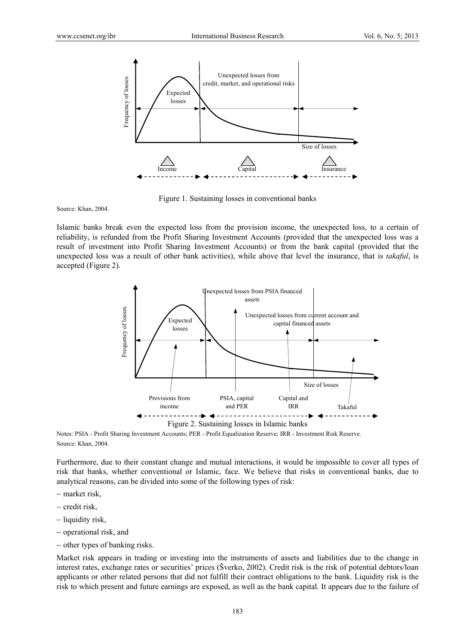

Figure 1. Sustaining losses in conventional banks

Source: Khan, 2004.

Islamic banks break even the expected loss from the provision income, the unexpected loss, to a certain of reliability, is refunded from the Profit Sharing Investment Accounts (provided that the unexpected loss was a result of investment into Profit Sharing Investment Accounts) or from the bank capital (provided that the unexpected loss was a result of other bank activities), while above that level the insurance, that is *takaful*, is accepted (Figure 2).



Notes: PSIA - Profit Sharing Investment Accounts; PER - Profit Equalization Reserve; IRR - Investment Risk Reserve. Source: Khan, 2004.

Furthermore, due to their constant change and mutual interactions, it would be impossible to cover all types of risk that banks, whether conventional or Islamic, face. We believe that risks in conventional banks, due to analytical reasons, can be divided into some of the following types of risk:

- market risk,
- $-$  credit risk,
- liquidity risk,
- operational risk, and
- other types of banking risks.

Market risk appears in trading or investing into the instruments of assets and liabilities due to the change in interest rates, exchange rates or securities' prices (Šverko, 2002). Credit risk is the risk of potential debtors/loan applicants or other related persons that did not fulfill their contract obligations to the bank. Liquidity risk is the risk to which present and future earnings are exposed, as well as the bank capital. It appears due to the failure of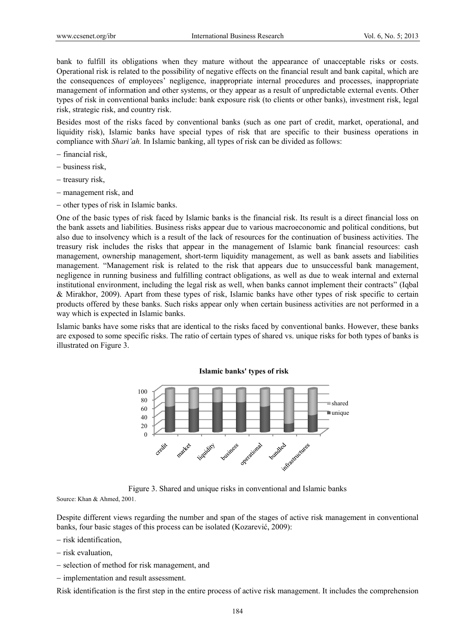bank to fulfill its obligations when they mature without the appearance of unacceptable risks or costs. Operational risk is related to the possibility of negative effects on the financial result and bank capital, which are the consequences of employees' negligence, inappropriate internal procedures and processes, inappropriate management of information and other systems, or they appear as a result of unpredictable external events. Other types of risk in conventional banks include: bank exposure risk (to clients or other banks), investment risk, legal risk, strategic risk, and country risk.

Besides most of the risks faced by conventional banks (such as one part of credit, market, operational, and liquidity risk), Islamic banks have special types of risk that are specific to their business operations in compliance with Shari'ah. In Islamic banking, all types of risk can be divided as follows:

- $-$  financial risk,
- $-$  business risk,
- treasury risk,
- management risk, and
- other types of risk in Islamic banks.

One of the basic types of risk faced by Islamic banks is the financial risk. Its result is a direct financial loss on the bank assets and liabilities. Business risks appear due to various macroeconomic and political conditions, but also due to insolvency which is a result of the lack of resources for the continuation of business activities. The treasury risk includes the risks that appear in the management of Islamic bank financial resources: cash management, ownership management, short-term liquidity management, as well as bank assets and liabilities management. "Management risk is related to the risk that appears due to unsuccessful bank management, negligence in running business and fulfilling contract obligations, as well as due to weak internal and external institutional environment, including the legal risk as well, when banks cannot implement their contracts" (Iqbal & Mirakhor, 2009). Apart from these types of risk, Islamic banks have other types of risk specific to certain products offered by these banks. Such risks appear only when certain business activities are not performed in a way which is expected in Islamic banks.

Islamic banks have some risks that are identical to the risks faced by conventional banks. However, these banks are exposed to some specific risks. The ratio of certain types of shared vs. unique risks for both types of banks is illustrated on Figure 3.



Islamic banks' types of risk

Figure 3. Shared and unique risks in conventional and Islamic banks

Source: Khan & Ahmed, 2001.

Despite different views regarding the number and span of the stages of active risk management in conventional banks, four basic stages of this process can be isolated (Kozarević, 2009):

- $-$  risk identification,
- $-$  risk evaluation.
- selection of method for risk management, and
- implementation and result assessment.

Risk identification is the first step in the entire process of active risk management. It includes the comprehension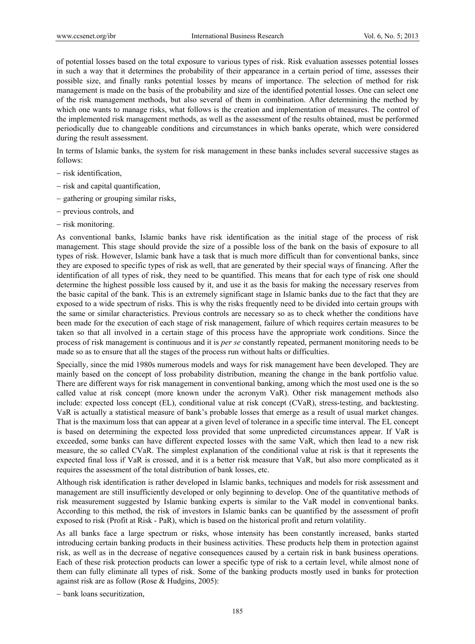of potential losses based on the total exposure to various types of risk. Risk evaluation assesses potential losses in such a way that it determines the probability of their appearance in a certain period of time, assesses their possible size, and finally ranks potential losses by means of importance. The selection of method for risk management is made on the basis of the probability and size of the identified potential losses. One can select one of the risk management methods, but also several of them in combination. After determining the method by which one wants to manage risks, what follows is the creation and implementation of measures. The control of the implemented risk management methods, as well as the assessment of the results obtained, must be performed periodically due to changeable conditions and circumstances in which banks operate, which were considered during the result assessment.

In terms of Islamic banks, the system for risk management in these banks includes several successive stages as follows:

- $-$  risk identification,
- $-$  risk and capital quantification,
- gathering or grouping similar risks,
- previous controls, and
- $-$  risk monitoring.

As conventional banks, Islamic banks have risk identification as the initial stage of the process of risk management. This stage should provide the size of a possible loss of the bank on the basis of exposure to all types of risk. However, Islamic bank have a task that is much more difficult than for conventional banks, since they are exposed to specific types of risk as well, that are generated by their special ways of financing. After the identification of all types of risk, they need to be quantified. This means that for each type of risk one should determine the highest possible loss caused by it, and use it as the basis for making the necessary reserves from the basic capital of the bank. This is an extremely significant stage in Islamic banks due to the fact that they are exposed to a wide spectrum of risks. This is why the risks frequently need to be divided into certain groups with the same or similar characteristics. Previous controls are necessary so as to check whether the conditions have been made for the execution of each stage of risk management, failure of which requires certain measures to be taken so that all involved in a certain stage of this process have the appropriate work conditions. Since the process of risk management is continuous and it is *per se* constantly repeated, permanent monitoring needs to be made so as to ensure that all the stages of the process run without halts or difficulties.

Specially, since the mid 1980s numerous models and ways for risk management have been developed. They are mainly based on the concept of loss probability distribution, meaning the change in the bank portfolio value. There are different ways for risk management in conventional banking, among which the most used one is the so called value at risk concept (more known under the acronym VaR). Other risk management methods also include: expected loss concept (EL), conditional value at risk concept (CVaR), stress-testing, and backtesting. VaR is actually a statistical measure of bank's probable losses that emerge as a result of usual market changes. That is the maximum loss that can appear at a given level of tolerance in a specific time interval. The EL concept is based on determining the expected loss provided that some unpredicted circumstances appear. If VaR is exceeded, some banks can have different expected losses with the same VaR, which then lead to a new risk measure, the so called CVaR. The simplest explanation of the conditional value at risk is that it represents the expected final loss if VaR is crossed, and it is a better risk measure that VaR, but also more complicated as it requires the assessment of the total distribution of bank losses, etc.

Although risk identification is rather developed in Islamic banks, techniques and models for risk assessment and management are still insufficiently developed or only beginning to develop. One of the quantitative methods of risk measurement suggested by Islamic banking experts is similar to the VaR model in conventional banks. According to this method, the risk of investors in Islamic banks can be quantified by the assessment of profit exposed to risk (Profit at Risk - PaR), which is based on the historical profit and return volatility.

As all banks face a large spectrum or risks, whose intensity has been constantly increased, banks started introducing certain banking products in their business activities. These products help them in protection against risk, as well as in the decrease of negative consequences caused by a certain risk in bank business operations. Each of these risk protection products can lower a specific type of risk to a certain level, while almost none of them can fully eliminate all types of risk. Some of the banking products mostly used in banks for protection against risk are as follow (Rose & Hudgins, 2005):

bank loans securitization,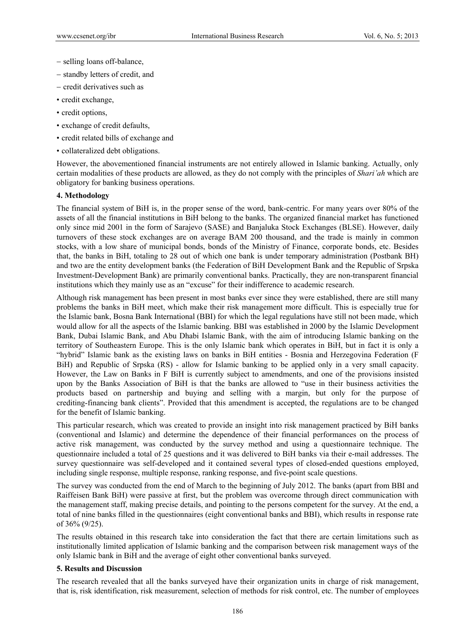- selling loans off-balance,
- standby letters of credit, and
- credit derivatives such as
- credit exchange,
- credit options,
- exchange of credit defaults,
- credit related bills of exchange and
- collateralized debt obligations.

However, the abovementioned financial instruments are not entirely allowed in Islamic banking. Actually, only certain modalities of these products are allowed, as they do not comply with the principles of *Shari'ah* which are obligatory for banking business operations.

#### **4. Methodology**

The financial system of BiH is, in the proper sense of the word, bank-centric. For many years over 80% of the assets of all the financial institutions in BiH belong to the banks. The organized financial market has functioned only since mid 2001 in the form of Sarajevo (SASE) and Banjaluka Stock Exchanges (BLSE). However, daily turnovers of these stock exchanges are on average BAM 200 thousand, and the trade is mainly in common stocks, with a low share of municipal bonds, bonds of the Ministry of Finance, corporate bonds, etc. Besides that, the banks in BiH, totaling to 28 out of which one bank is under temporary administration (Postbank BH) and two are the entity development banks (the Federation of BiH Development Bank and the Republic of Srpska Investment-Development Bank) are primarily conventional banks. Practically, they are non-transparent financial institutions which they mainly use as an "excuse" for their indifference to academic research.

Although risk management has been present in most banks ever since they were established, there are still many problems the banks in BiH meet, which make their risk management more difficult. This is especially true for the Islamic bank, Bosna Bank International (BBI) for which the legal regulations have still not been made, which would allow for all the aspects of the Islamic banking. BBI was established in 2000 by the Islamic Development Bank, Dubai Islamic Bank, and Abu Dhabi Islamic Bank, with the aim of introducing Islamic banking on the territory of Southeastern Europe. This is the only Islamic bank which operates in BiH, but in fact it is only a "hybrid" Islamic bank as the existing laws on banks in BiH entities - Bosnia and Herzegovina Federation (F BiH) and Republic of Srpska (RS) - allow for Islamic banking to be applied only in a very small capacity. However, the Law on Banks in F BiH is currently subject to amendments, and one of the provisions insisted upon by the Banks Association of BiH is that the banks are allowed to "use in their business activities the products based on partnership and buying and selling with a margin, but only for the purpose of crediting-financing bank clients". Provided that this amendment is accepted, the regulations are to be changed for the benefit of Islamic banking.

This particular research, which was created to provide an insight into risk management practiced by BiH banks (conventional and Islamic) and determine the dependence of their financial performances on the process of active risk management, was conducted by the survey method and using a questionnaire technique. The questionnaire included a total of 25 questions and it was delivered to BiH banks via their e-mail addresses. The survey questionnaire was self-developed and it contained several types of closed-ended questions employed, including single response, multiple response, ranking response, and five-point scale questions.

The survey was conducted from the end of March to the beginning of July 2012. The banks (apart from BBI and Raiffeisen Bank BiH) were passive at first, but the problem was overcome through direct communication with the management staff, making precise details, and pointing to the persons competent for the survey. At the end, a total of nine banks filled in the questionnaires (eight conventional banks and BBI), which results in response rate of 36% (9/25).

The results obtained in this research take into consideration the fact that there are certain limitations such as institutionally limited application of Islamic banking and the comparison between risk management ways of the only Islamic bank in BiH and the average of eight other conventional banks surveyed.

#### **5. Results and Discussion**

The research revealed that all the banks surveyed have their organization units in charge of risk management, that is, risk identification, risk measurement, selection of methods for risk control, etc. The number of employees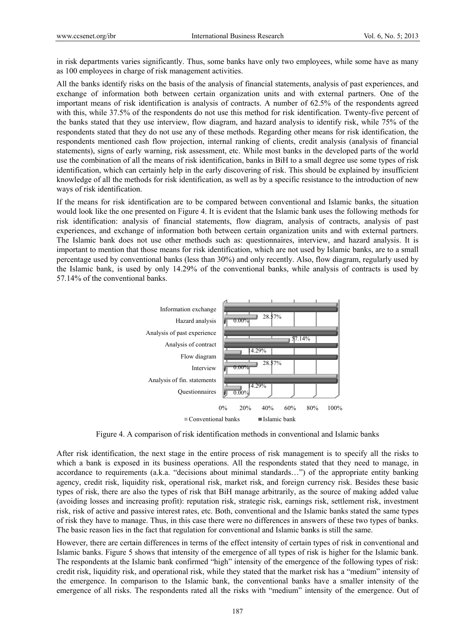in risk departments varies significantly. Thus, some banks have only two employees, while some have as many as 100 employees in charge of risk management activities.

All the banks identify risks on the basis of the analysis of financial statements, analysis of past experiences, and exchange of information both between certain organization units and with external partners. One of the important means of risk identification is analysis of contracts. A number of 62.5% of the respondents agreed with this, while 37.5% of the respondents do not use this method for risk identification. Twenty-five percent of the banks stated that they use interview, flow diagram, and hazard analysis to identify risk, while 75% of the respondents stated that they do not use any of these methods. Regarding other means for risk identification, the respondents mentioned cash flow projection, internal ranking of clients, credit analysis (analysis of financial statements), signs of early warning, risk assessment, etc. While most banks in the developed parts of the world use the combination of all the means of risk identification, banks in BiH to a small degree use some types of risk identification, which can certainly help in the early discovering of risk. This should be explained by insufficient knowledge of all the methods for risk identification, as well as by a specific resistance to the introduction of new ways of risk identification.

If the means for risk identification are to be compared between conventional and Islamic banks, the situation would look like the one presented on Figure 4. It is evident that the Islamic bank uses the following methods for risk identification: analysis of financial statements, flow diagram, analysis of contracts, analysis of past experiences, and exchange of information both between certain organization units and with external partners. The Islamic bank does not use other methods such as: questionnaires, interview, and hazard analysis. It is important to mention that those means for risk identification, which are not used by Islamic banks, are to a small percentage used by conventional banks (less than 30%) and only recently. Also, flow diagram, regularly used by the Islamic bank, is used by only 14.29% of the conventional banks, while analysis of contracts is used by 57.14% of the conventional banks.



Figure 4. A comparison of risk identification methods in conventional and Islamic banks

After risk identification, the next stage in the entire process of risk management is to specify all the risks to which a bank is exposed in its business operations. All the respondents stated that they need to manage, in accordance to requirements (a.k.a. "decisions about minimal standards...") of the appropriate entity banking agency, credit risk, liquidity risk, operational risk, market risk, and foreign currency risk. Besides these basic types of risk, there are also the types of risk that BiH manage arbitrarily, as the source of making added value (avoiding losses and increasing profit): reputation risk, strategic risk, earnings risk, settlement risk, investment risk, risk of active and passive interest rates, etc. Both, conventional and the Islamic banks stated the same types of risk they have to manage. Thus, in this case there were no differences in answers of these two types of banks. The basic reason lies in the fact that regulation for conventional and Islamic banks is still the same.

However, there are certain differences in terms of the effect intensity of certain types of risk in conventional and Islamic banks. Figure 5 shows that intensity of the emergence of all types of risk is higher for the Islamic bank. The respondents at the Islamic bank confirmed "high" intensity of the emergence of the following types of risk: credit risk, liquidity risk, and operational risk, while they stated that the market risk has a "medium" intensity of the emergence. In comparison to the Islamic bank, the conventional banks have a smaller intensity of the emergence of all risks. The respondents rated all the risks with "medium" intensity of the emergence. Out of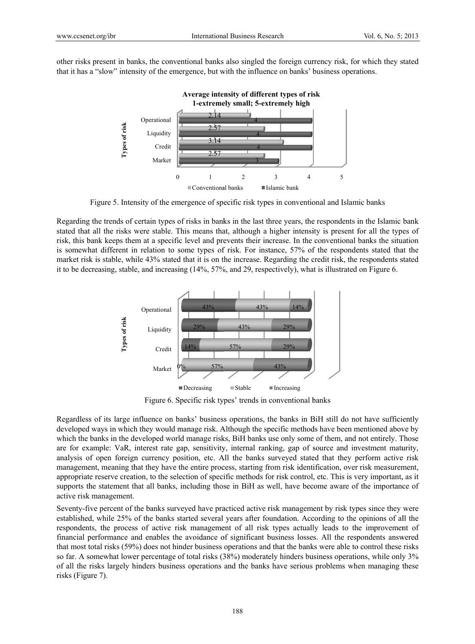other risks present in banks, the conventional banks also singled the foreign currency risk, for which they stated that it has a "slow" intensity of the emergence, but with the influence on banks' business operations.



Figure 5. Intensity of the emergence of specific risk types in conventional and Islamic banks

Regarding the trends of certain types of risks in banks in the last three years, the respondents in the Islamic bank stated that all the risks were stable. This means that, although a higher intensity is present for all the types of risk, this bank keeps them at a specific level and prevents their increase. In the conventional banks the situation is somewhat different in relation to some types of risk. For instance, 57% of the respondents stated that the market risk is stable, while 43% stated that it is on the increase. Regarding the credit risk, the respondents stated it to be decreasing, stable, and increasing (14%, 57%, and 29, respectively), what is illustrated on Figure 6.



Figure 6. Specific risk types' trends in conventional banks

Regardless of its large influence on banks' business operations, the banks in BiH still do not have sufficiently developed ways in which they would manage risk. Although the specific methods have been mentioned above by which the banks in the developed world manage risks, BiH banks use only some of them, and not entirely. Those are for example: VaR, interest rate gap, sensitivity, internal ranking, gap of source and investment maturity, analysis of open foreign currency position, etc. All the banks surveyed stated that they perform active risk management, meaning that they have the entire process, starting from risk identification, over risk measurement, appropriate reserve creation, to the selection of specific methods for risk control, etc. This is very important, as it supports the statement that all banks, including those in BiH as well, have become aware of the importance of active risk management.

Seventy-five percent of the banks surveyed have practiced active risk management by risk types since they were established, while 25% of the banks started several years after foundation. According to the opinions of all the respondents, the process of active risk management of all risk types actually leads to the improvement of financial performance and enables the avoidance of significant business losses. All the respondents answered that most total risks (59%) does not hinder business operations and that the banks were able to control these risks so far. A somewhat lower percentage of total risks (38%) moderately hinders business operations, while only 3% of all the risks largely hinders business operations and the banks have serious problems when managing these risks (Figure 7).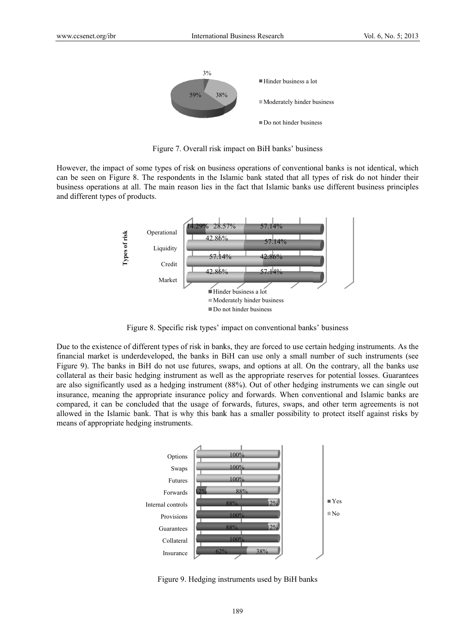

Figure 7. Overall risk impact on BiH banks' business

However, the impact of some types of risk on business operations of conventional banks is not identical, which can be seen on Figure 8. The respondents in the Islamic bank stated that all types of risk do not hinder their business operations at all. The main reason lies in the fact that Islamic banks use different business principles and different types of products.



Figure 8. Specific risk types' impact on conventional banks' business

Due to the existence of different types of risk in banks, they are forced to use certain hedging instruments. As the financial market is underdeveloped, the banks in BiH can use only a small number of such instruments (see Figure 9). The banks in BiH do not use futures, swaps, and options at all. On the contrary, all the banks use collateral as their basic hedging instrument as well as the appropriate reserves for potential losses. Guarantees are also significantly used as a hedging instrument (88%). Out of other hedging instruments we can single out insurance, meaning the appropriate insurance policy and forwards. When conventional and Islamic banks are compared, it can be concluded that the usage of forwards, futures, swaps, and other term agreements is not allowed in the Islamic bank. That is why this bank has a smaller possibility to protect itself against risks by means of appropriate hedging instruments.



Figure 9. Hedging instruments used by BiH banks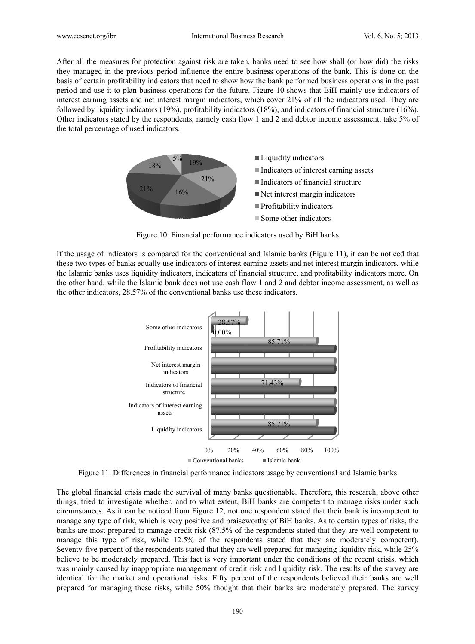After all the measures for protection against risk are taken, banks need to see how shall (or how did) the risks they managed in the previous period influence the entire business operations of the bank. This is done on the basis of certain profitability indicators that need to show how the bank performed business operations in the past period and use it to plan business operations for the future. Figure 10 shows that BiH mainly use indicators of interest earning assets and net interest margin indicators, which cover 21% of all the indicators used. They are followed by liquidity indicators (19%), profitability indicators (18%), and indicators of financial structure (16%). Other indicators stated by the respondents, namely cash flow 1 and 2 and debtor income assessment, take 5% of the total percentage of used indicators.



Figure 10. Financial performance indicators used by BiH banks

If the usage of indicators is compared for the conventional and Islamic banks (Figure 11), it can be noticed that these two types of banks equally use indicators of interest earning assets and net interest margin indicators, while the Islamic banks uses liquidity indicators, indicators of financial structure, and profitability indicators more. On the other hand, while the Islamic bank does not use cash flow 1 and 2 and debtor income assessment, as well as the other indicators, 28.57% of the conventional banks use these indicators.



Figure 11. Differences in financial performance indicators usage by conventional and Islamic banks

The global financial crisis made the survival of many banks questionable. Therefore, this research, above other things, tried to investigate whether, and to what extent, BiH banks are competent to manage risks under such circumstances. As it can be noticed from Figure 12, not one respondent stated that their bank is incompetent to manage any type of risk, which is very positive and praiseworthy of BiH banks. As to certain types of risks, the banks are most prepared to manage credit risk (87.5% of the respondents stated that they are well competent to manage this type of risk, while 12.5% of the respondents stated that they are moderately competent). Seventy-five percent of the respondents stated that they are well prepared for managing liquidity risk, while 25% believe to be moderately prepared. This fact is very important under the conditions of the recent crisis, which was mainly caused by inappropriate management of credit risk and liquidity risk. The results of the survey are identical for the market and operational risks. Fifty percent of the respondents believed their banks are well prepared for managing these risks, while 50% thought that their banks are moderately prepared. The survey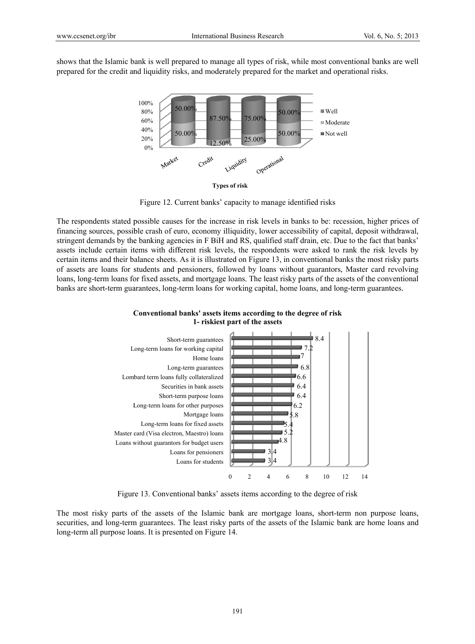shows that the Islamic bank is well prepared to manage all types of risk, while most conventional banks are well prepared for the credit and liquidity risks, and moderately prepared for the market and operational risks.



Figure 12. Current banks' capacity to manage identified risks

The respondents stated possible causes for the increase in risk levels in banks to be: recession, higher prices of financing sources, possible crash of euro, economy illiquidity, lower accessibility of capital, deposit withdrawal, stringent demands by the banking agencies in F BiH and RS, qualified staff drain, etc. Due to the fact that banks' assets include certain items with different risk levels, the respondents were asked to rank the risk levels by certain items and their balance sheets. As it is illustrated on Figure 13, in conventional banks the most risky parts of assets are loans for students and pensioners, followed by loans without guarantors, Master card revolving loans, long-term loans for fixed assets, and mortgage loans. The least risky parts of the assets of the conventional banks are short-term guarantees, long-term loans for working capital, home loans, and long-term guarantees.





Figure 13. Conventional banks' assets items according to the degree of risk

The most risky parts of the assets of the Islamic bank are mortgage loans, short-term non purpose loans, securities, and long-term guarantees. The least risky parts of the assets of the Islamic bank are home loans and long-term all purpose loans. It is presented on Figure 14.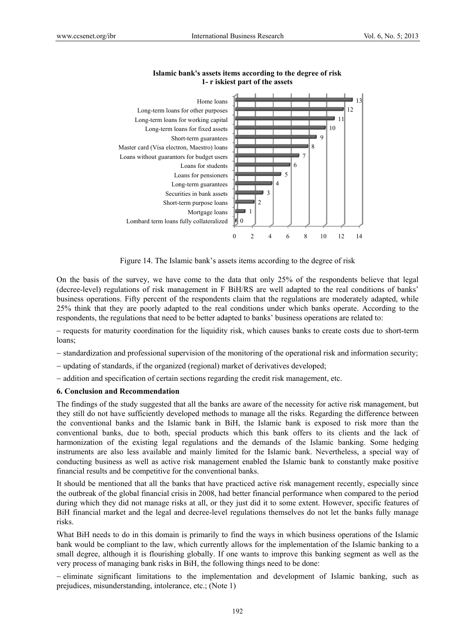

### Islamic bank's assets items according to the degree of risk 1- r iskiest part of the assets

Figure 14. The Islamic bank's assets items according to the degree of risk

On the basis of the survey, we have come to the data that only 25% of the respondents believe that legal (decree-level) regulations of risk management in F BiH/RS are well adapted to the real conditions of banks' business operations. Fifty percent of the respondents claim that the regulations are moderately adapted, while 25% think that they are poorly adapted to the real conditions under which banks operate. According to the respondents, the regulations that need to be better adapted to banks' business operations are related to:

- requests for maturity coordination for the liquidity risk, which causes banks to create costs due to short-term loans:

- standardization and professional supervision of the monitoring of the operational risk and information security;

- updating of standards, if the organized (regional) market of derivatives developed;

- addition and specification of certain sections regarding the credit risk management, etc.

# 6. Conclusion and Recommendation

The findings of the study suggested that all the banks are aware of the necessity for active risk management, but they still do not have sufficiently developed methods to manage all the risks. Regarding the difference between the conventional banks and the Islamic bank in BiH, the Islamic bank is exposed to risk more than the conventional banks, due to both, special products which this bank offers to its clients and the lack of harmonization of the existing legal regulations and the demands of the Islamic banking. Some hedging instruments are also less available and mainly limited for the Islamic bank. Nevertheless, a special way of conducting business as well as active risk management enabled the Islamic bank to constantly make positive financial results and be competitive for the conventional banks.

It should be mentioned that all the banks that have practiced active risk management recently, especially since the outbreak of the global financial crisis in 2008, had better financial performance when compared to the period during which they did not manage risks at all, or they just did it to some extent. However, specific features of BiH financial market and the legal and decree-level regulations themselves do not let the banks fully manage risks.

What BiH needs to do in this domain is primarily to find the ways in which business operations of the Islamic bank would be compliant to the law, which currently allows for the implementation of the Islamic banking to a small degree, although it is flourishing globally. If one wants to improve this banking segment as well as the very process of managing bank risks in BiH, the following things need to be done:

- eliminate significant limitations to the implementation and development of Islamic banking, such as prejudices, misunderstanding, intolerance, etc.; (Note 1)